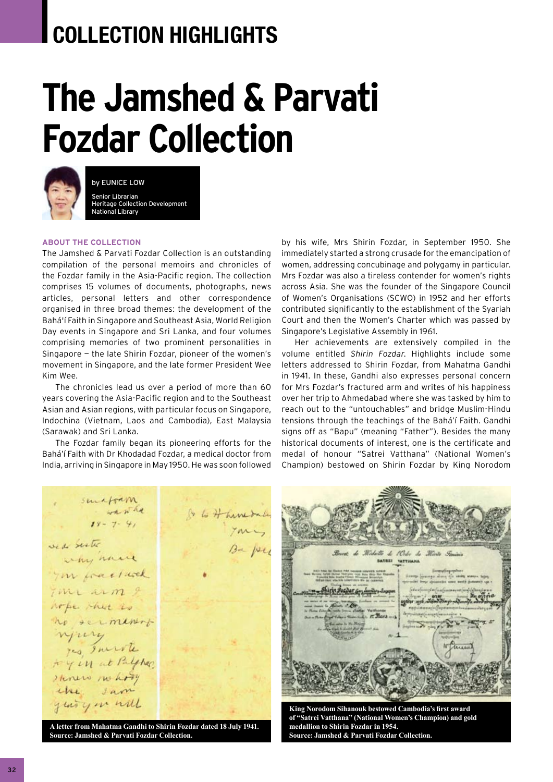## **COLLECTION HIGHLIGHTS**

## **The Jamshed & Parvati Fozdar Collection**



by Eunice Low Senior Librarian Heritage Collection Development National Library

## **about the collection**

The Jamshed & Parvati Fozdar Collection is an outstanding compilation of the personal memoirs and chronicles of the Fozdar family in the Asia-Pacific region. The collection comprises 15 volumes of documents, photographs, news articles, personal letters and other correspondence organised in three broad themes: the development of the Bahá'í Faith in Singapore and Southeast Asia, World Religion Day events in Singapore and Sri Lanka, and four volumes comprising memories of two prominent personalities in Singapore — the late Shirin Fozdar, pioneer of the women's movement in Singapore, and the late former President Wee Kim Wee.

The chronicles lead us over a period of more than 60 years covering the Asia-Pacific region and to the Southeast Asian and Asian regions, with particular focus on Singapore, Indochina (Vietnam, Laos and Cambodia), East Malaysia (Sarawak) and Sri Lanka.

The Fozdar family began its pioneering efforts for the Bahá'í Faith with Dr Khodadad Fozdar, a medical doctor from India, arriving in Singapore in May 1950. He was soon followed

by his wife, Mrs Shirin Fozdar, in September 1950. She immediately started a strong crusade for the emancipation of women, addressing concubinage and polygamy in particular. Mrs Fozdar was also a tireless contender for women's rights across Asia. She was the founder of the Singapore Council of Women's Organisations (SCWO) in 1952 and her efforts contributed significantly to the establishment of the Syariah Court and then the Women's Charter which was passed by Singapore's Legislative Assembly in 1961.

Her achievements are extensively compiled in the volume entitled *Shirin Fozdar*. Highlights include some letters addressed to Shirin Fozdar, from Mahatma Gandhi in 1941. In these, Gandhi also expresses personal concern for Mrs Fozdar's fractured arm and writes of his happiness over her trip to Ahmedabad where she was tasked by him to reach out to the "untouchables" and bridge Muslim-Hindu tensions through the teachings of the Bahá'í Faith. Gandhi signs off as "Bapu" (meaning "Father"). Besides the many historical documents of interest, one is the certificate and medal of honour "Satrei Vatthana" (National Women's Champion) bestowed on Shirin Fozdar by King Norodom

whathe & to Hambal  $18 - 7 - 41$ Ba per sed seste why have you fractured Time arm 9 when thet is no serminant njury yes Imerite to y in at Palphas Henew no hory the sam yeary on will



**A letter from Mahatma Gandhi to Shirin Fozdar dated 18 July 1941. Source: Jamshed & Parvati Fozdar Collection.**